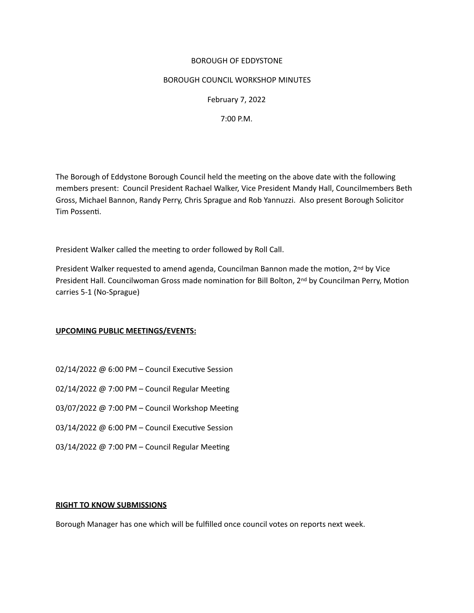# BOROUGH OF EDDYSTONE

### BOROUGH COUNCIL WORKSHOP MINUTES

February 7, 2022

7:00 P.M.

The Borough of Eddystone Borough Council held the meetng on the above date with the following members present: Council President Rachael Walker, Vice President Mandy Hall, Councilmembers Beth Gross, Michael Bannon, Randy Perry, Chris Sprague and Rob Yannuzzi. Also present Borough Solicitor Tim Possent. 

President Walker called the meeting to order followed by Roll Call.

President Walker requested to amend agenda, Councilman Bannon made the motion, 2<sup>nd</sup> by Vice President Hall. Councilwoman Gross made nomination for Bill Bolton, 2<sup>nd</sup> by Councilman Perry, Motion carries 5-1 (No-Sprague)

# **UPCOMING PUBLIC MEETINGS/EVENTS:**

- 02/14/2022 @ 6:00 PM Council Executive Session
- 02/14/2022 @ 7:00 PM Council Regular Meeting
- 03/07/2022 @ 7:00 PM Council Workshop Meetng
- 03/14/2022 @ 6:00 PM Council Executive Session
- 03/14/2022 @ 7:00 PM Council Regular Meeting

### **RIGHT TO KNOW SUBMISSIONS**

Borough Manager has one which will be fulfilled once council votes on reports next week.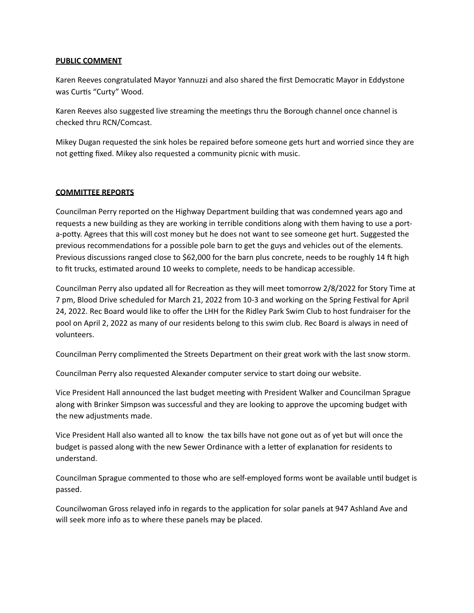### **PUBLIC COMMENT**

Karen Reeves congratulated Mayor Yannuzzi and also shared the first Democratic Mayor in Eddystone was Curts "Curty" Wood.

Karen Reeves also suggested live streaming the meetngs thru the Borough channel once channel is checked thru RCN/Comcast.

Mikey Dugan requested the sink holes be repaired before someone gets hurt and worried since they are not getting fixed. Mikey also requested a community picnic with music.

# **COMMITTEE REPORTS**

Councilman Perry reported on the Highway Department building that was condemned years ago and requests a new building as they are working in terrible conditons along with them having to use a porta-poty. Agrees that this will cost money but he does not want to see someone get hurt. Suggested the previous recommendatons for a possible pole barn to get the guys and vehicles out of the elements. Previous discussions ranged close to \$62,000 for the barn plus concrete, needs to be roughly 14 ft high to fit trucks, estimated around 10 weeks to complete, needs to be handicap accessible.

Councilman Perry also updated all for Recreation as they will meet tomorrow 2/8/2022 for Story Time at 7 pm, Blood Drive scheduled for March 21, 2022 from 10-3 and working on the Spring Festval for April 24, 2022. Rec Board would like to offer the LHH for the Ridley Park Swim Club to host fundraiser for the pool on April 2, 2022 as many of our residents belong to this swim club. Rec Board is always in need of volunteers.

Councilman Perry complimented the Streets Department on their great work with the last snow storm.

Councilman Perry also requested Alexander computer service to start doing our website.

Vice President Hall announced the last budget meetng with President Walker and Councilman Sprague along with Brinker Simpson was successful and they are looking to approve the upcoming budget with the new adjustments made.

Vice President Hall also wanted all to know the tax bills have not gone out as of yet but will once the budget is passed along with the new Sewer Ordinance with a letter of explanation for residents to understand.

Councilman Sprague commented to those who are self-employed forms wont be available untl budget is passed.

Councilwoman Gross relayed info in regards to the application for solar panels at 947 Ashland Ave and will seek more info as to where these panels may be placed.